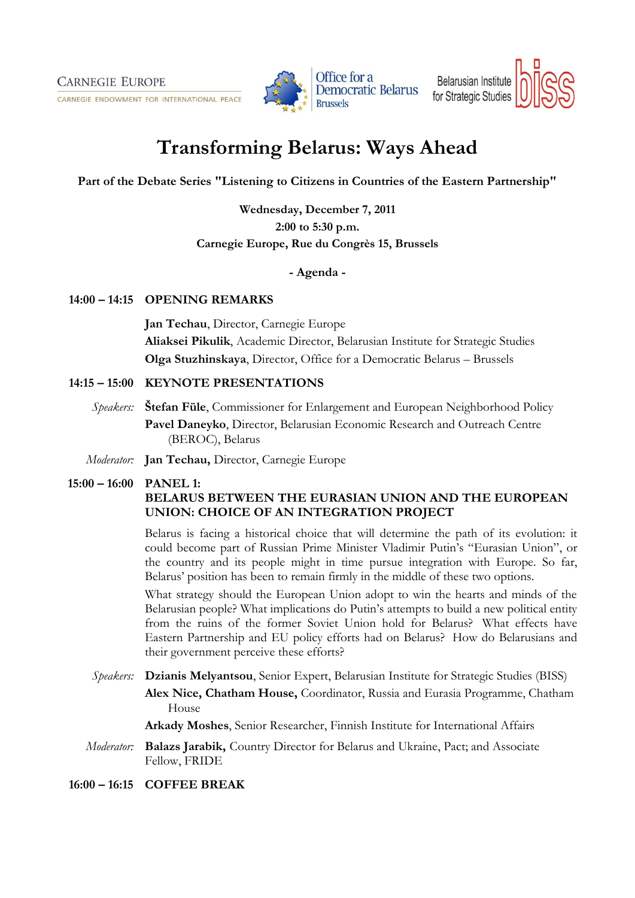CARNEGIE ENDOWMENT FOR INTERNATIONAL PEACE



**Democratic Belarus** 

Belarusian Institute for Strategic Studies

# **Transforming Belarus: Ways Ahead**

**Part of the Debate Series "Listening to Citizens in Countries of the Eastern Partnership"**

**Wednesday, December 7, 2011 2:00 to 5:30 p.m. Carnegie Europe, Rue du Congrès 15, Brussels**

# **- Agenda -**

### **14:00 – 14:15 OPENING REMARKS**

**Jan Techau**, Director, Carnegie Europe **Aliaksei Pikulik**, Academic Director, Belarusian Institute for Strategic Studies **Olga Stuzhinskaya**, Director, Office for a Democratic Belarus – Brussels

# **14:15 – 15:00 KEYNOTE PRESENTATIONS**

- *Speakers:* **Štefan Füle**, Commissioner for Enlargement and European Neighborhood Policy **Pavel Daneyko**, Director, Belarusian Economic Research and Outreach Centre (BEROC), Belarus
- *Moderator:* **Jan Techau,** Director, Carnegie Europe

# **15:00 – 16:00 PANEL 1: BELARUS BETWEEN THE EURASIAN UNION AND THE EUROPEAN UNION: CHOICE OF AN INTEGRATION PROJECT**

Belarus is facing a historical choice that will determine the path of its evolution: it could become part of Russian Prime Minister Vladimir Putin's "Eurasian Union", or the country and its people might in time pursue integration with Europe. So far, Belarus' position has been to remain firmly in the middle of these two options.

What strategy should the European Union adopt to win the hearts and minds of the Belarusian people? What implications do Putin's attempts to build a new political entity from the ruins of the former Soviet Union hold for Belarus? What effects have Eastern Partnership and EU policy efforts had on Belarus? How do Belarusians and their government perceive these efforts?

*Speakers:* **Dzianis Melyantsou**, Senior Expert, Belarusian Institute for Strategic Studies (BISS) **Alex Nice, Chatham House,** Coordinator, Russia and Eurasia Programme, Chatham House

**Arkady Moshes**, Senior Researcher, Finnish Institute for International Affairs

*Moderator:* **Balazs Jarabik,** Country Director for Belarus and Ukraine, Pact; and Associate Fellow, FRIDE

**16:00 – 16:15 COFFEE BREAK**